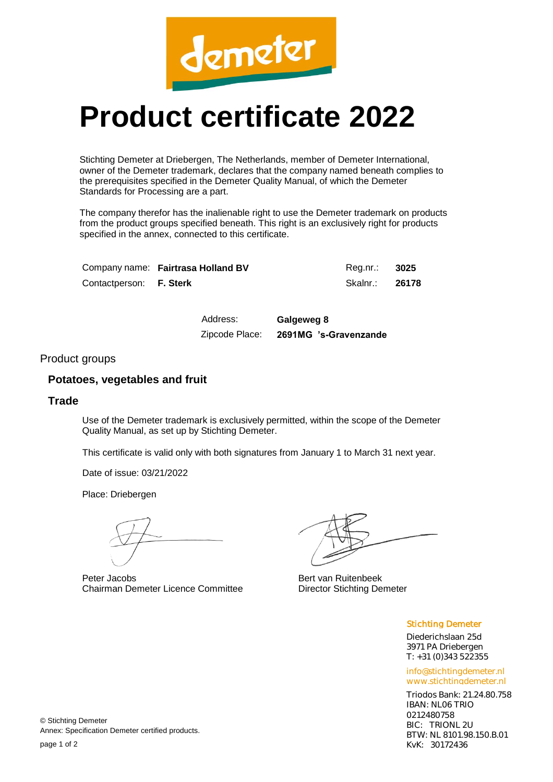

# **Product certificate 2022**

Stichting Demeter at Driebergen, The Netherlands, member of Demeter International, owner of the Demeter trademark, declares that the company named beneath complies to the prerequisites specified in the Demeter Quality Manual, of which the Demeter Standards for Processing are a part.

The company therefor has the inalienable right to use the Demeter trademark on products from the product groups specified beneath. This right is an exclusively right for products specified in the annex, connected to this certificate.

|                         | Company name: Fairtrasa Holland BV | Reg.nr.: 3025  |  |
|-------------------------|------------------------------------|----------------|--|
| Contactperson: F. Sterk |                                    | Skalnr.: 26178 |  |

Address: **Galgeweg 8** Zipcode Place: **2691MG 's-Gravenzande**

#### Product groups

## **Potatoes, vegetables and fruit**

## **Trade**

Use of the Demeter trademark is exclusively permitted, within the scope of the Demeter Quality Manual, as set up by Stichting Demeter.

This certificate is valid only with both signatures from January 1 to March 31 next year.

Date of issue: 03/21/2022

Place: Driebergen

Peter Jacobs Chairman Demeter Licence Committee

Bert van Ruitenbeek Director Stichting Demeter

#### Stichting Demeter

Diederichslaan 25d 3971 PA Driebergen T: +31 (0)343 522355

info@stichtingdemeter.nl www.stichtingdemeter.nl

Triodos Bank: 21.24.80.758 IBAN: NL06 TRIO 0212480758 BIC: TRIONL 2U BTW: NL 8101.98.150.B.01 KvK: 30172436

© Stichting Demeter Annex: Specification Demeter certified products.